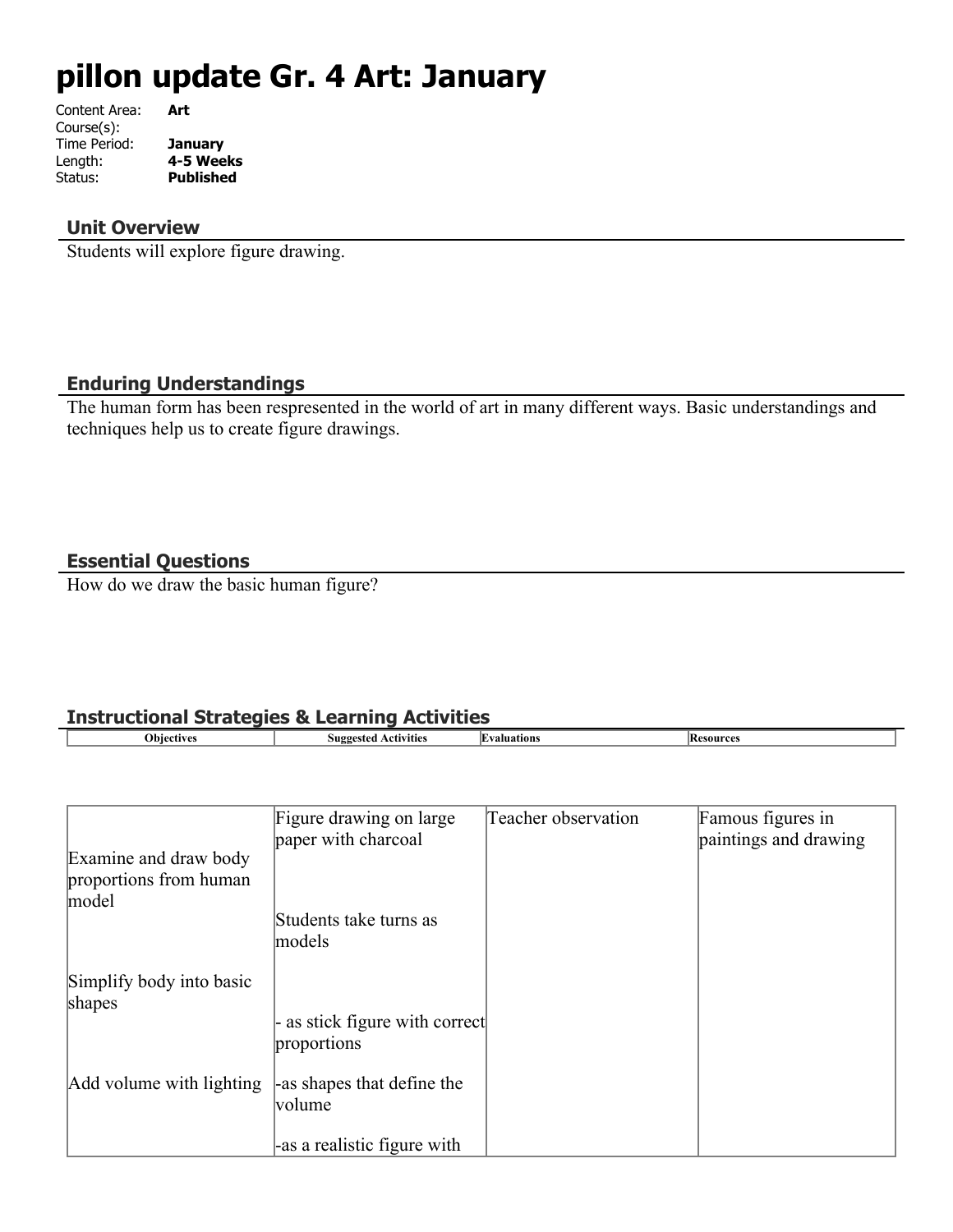# **pillon update Gr. 4 Art: January**

| Content Area: | Art              |
|---------------|------------------|
| Course(s):    |                  |
| Time Period:  | <b>January</b>   |
| Length:       | 4-5 Weeks        |
| Status:       | <b>Published</b> |
|               |                  |

#### **Unit Overview**

Students will explore figure drawing.

#### **Enduring Understandings**

The human form has been respresented in the world of art in many different ways. Basic understandings and techniques help us to create figure drawings.

## **Essential Questions**

How do we draw the basic human figure?

## **Instructional Strategies & Learning Activities**

| <b>Objectives</b>                                        | <b>Suggested Activities</b>                    | Evaluations         | <b>Resources</b>                           |
|----------------------------------------------------------|------------------------------------------------|---------------------|--------------------------------------------|
|                                                          |                                                |                     |                                            |
|                                                          |                                                |                     |                                            |
| Examine and draw body<br>proportions from human<br>model | Figure drawing on large<br>paper with charcoal | Teacher observation | Famous figures in<br>paintings and drawing |
|                                                          | Students take turns as<br>models               |                     |                                            |
| Simplify body into basic<br>shapes                       |                                                |                     |                                            |
|                                                          | as stick figure with correct<br>proportions    |                     |                                            |
| Add volume with lighting                                 | -as shapes that define the<br>volume           |                     |                                            |
|                                                          | -as a realistic figure with                    |                     |                                            |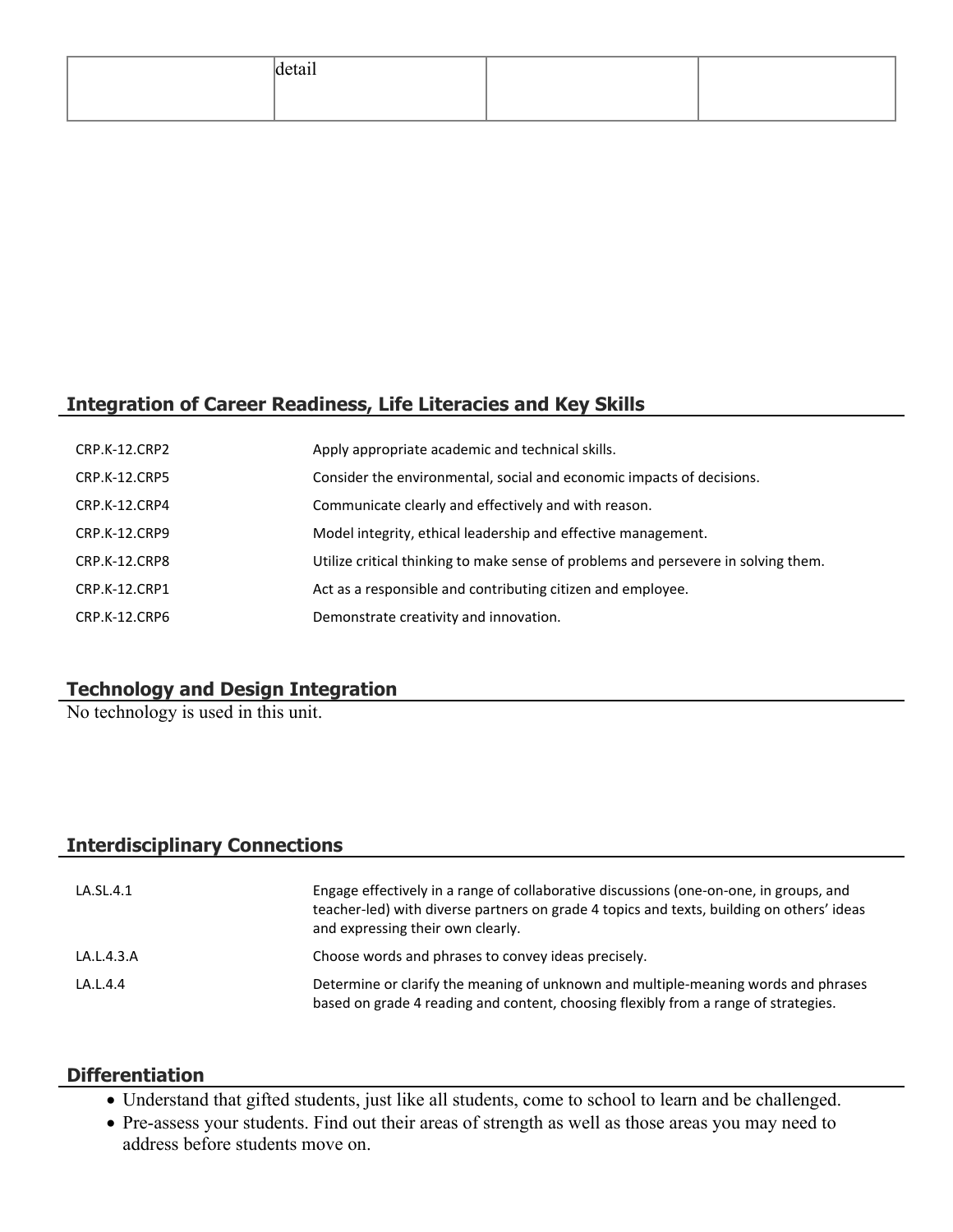# **Integration of Career Readiness, Life Literacies and Key Skills**

| CRP.K-12.CRP2        | Apply appropriate academic and technical skills.                                   |
|----------------------|------------------------------------------------------------------------------------|
| CRP.K-12.CRP5        | Consider the environmental, social and economic impacts of decisions.              |
| CRP.K-12.CRP4        | Communicate clearly and effectively and with reason.                               |
| <b>CRP.K-12.CRP9</b> | Model integrity, ethical leadership and effective management.                      |
| CRP.K-12.CRP8        | Utilize critical thinking to make sense of problems and persevere in solving them. |
| <b>CRP.K-12.CRP1</b> | Act as a responsible and contributing citizen and employee.                        |
| CRP.K-12.CRP6        | Demonstrate creativity and innovation.                                             |

# **Technology and Design Integration**

No technology is used in this unit.

## **Interdisciplinary Connections**

| LA.SL.4.1  | Engage effectively in a range of collaborative discussions (one-on-one, in groups, and<br>teacher-led) with diverse partners on grade 4 topics and texts, building on others' ideas<br>and expressing their own clearly. |
|------------|--------------------------------------------------------------------------------------------------------------------------------------------------------------------------------------------------------------------------|
| LA.L.4.3.A | Choose words and phrases to convey ideas precisely.                                                                                                                                                                      |
| LA.L.4.4   | Determine or clarify the meaning of unknown and multiple-meaning words and phrases<br>based on grade 4 reading and content, choosing flexibly from a range of strategies.                                                |

## **Differentiation**

- Understand that gifted students, just like all students, come to school to learn and be challenged.
- Pre-assess your students. Find out their areas of strength as well as those areas you may need to address before students move on.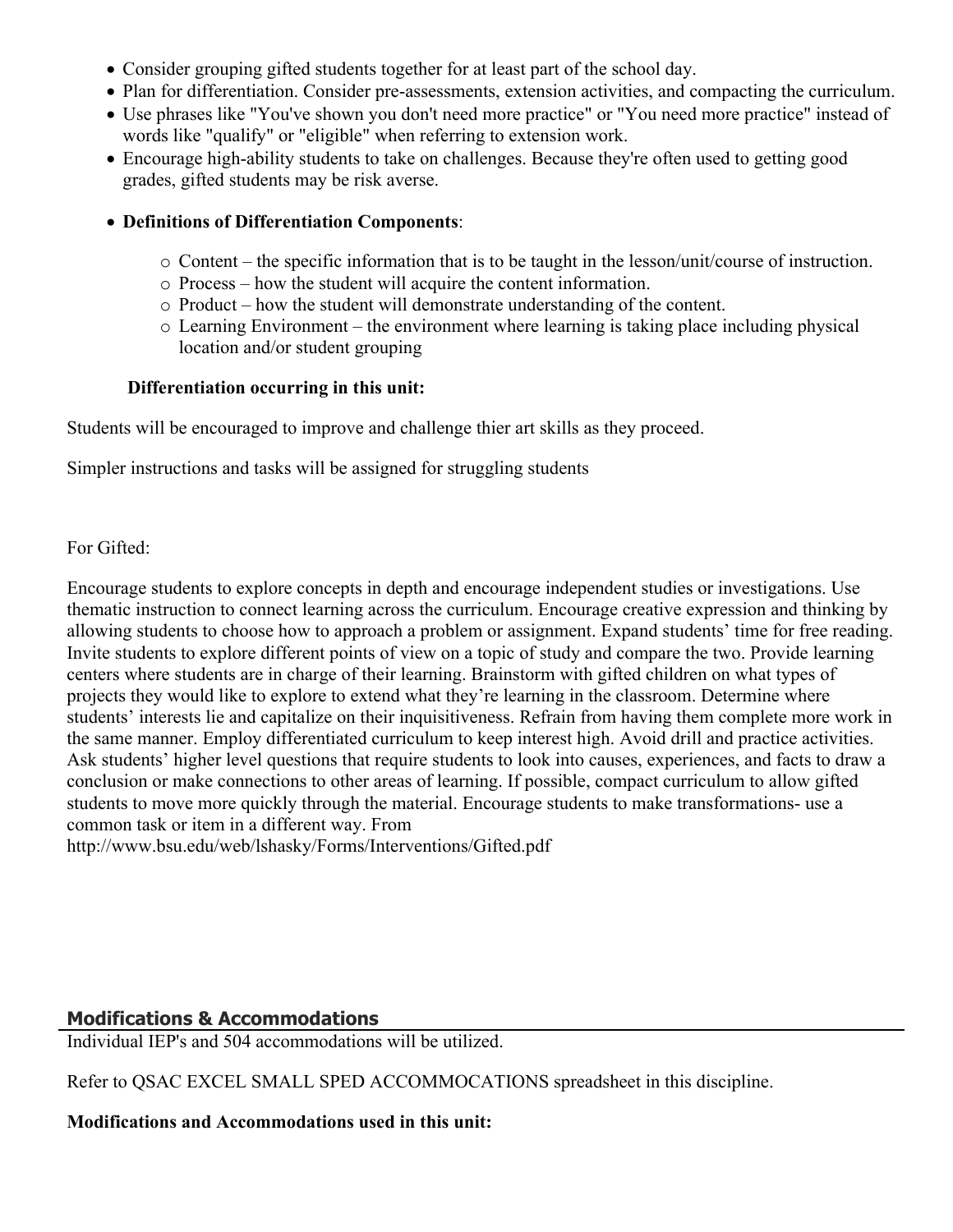- Consider grouping gifted students together for at least part of the school day.
- Plan for differentiation. Consider pre-assessments, extension activities, and compacting the curriculum.
- Use phrases like "You've shown you don't need more practice" or "You need more practice" instead of words like "qualify" or "eligible" when referring to extension work.
- Encourage high-ability students to take on challenges. Because they're often used to getting good grades, gifted students may be risk averse.
- **Definitions of Differentiation Components**:
	- $\circ$  Content the specific information that is to be taught in the lesson/unit/course of instruction.
	- o Process how the student will acquire the content information.
	- o Product how the student will demonstrate understanding of the content.
	- o Learning Environment the environment where learning is taking place including physical location and/or student grouping

## **Differentiation occurring in this unit:**

Students will be encouraged to improve and challenge thier art skills as they proceed.

Simpler instructions and tasks will be assigned for struggling students

## For Gifted:

Encourage students to explore concepts in depth and encourage independent studies or investigations. Use thematic instruction to connect learning across the curriculum. Encourage creative expression and thinking by allowing students to choose how to approach a problem or assignment. Expand students' time for free reading. Invite students to explore different points of view on a topic of study and compare the two. Provide learning centers where students are in charge of their learning. Brainstorm with gifted children on what types of projects they would like to explore to extend what they're learning in the classroom. Determine where students' interests lie and capitalize on their inquisitiveness. Refrain from having them complete more work in the same manner. Employ differentiated curriculum to keep interest high. Avoid drill and practice activities. Ask students' higher level questions that require students to look into causes, experiences, and facts to draw a conclusion or make connections to other areas of learning. If possible, compact curriculum to allow gifted students to move more quickly through the material. Encourage students to make transformations- use a common task or item in a different way. From

http://www.bsu.edu/web/lshasky/Forms/Interventions/Gifted.pdf

# **Modifications & Accommodations**

Individual IEP's and 504 accommodations will be utilized.

Refer to QSAC EXCEL SMALL SPED ACCOMMOCATIONS spreadsheet in this discipline.

#### **Modifications and Accommodations used in this unit:**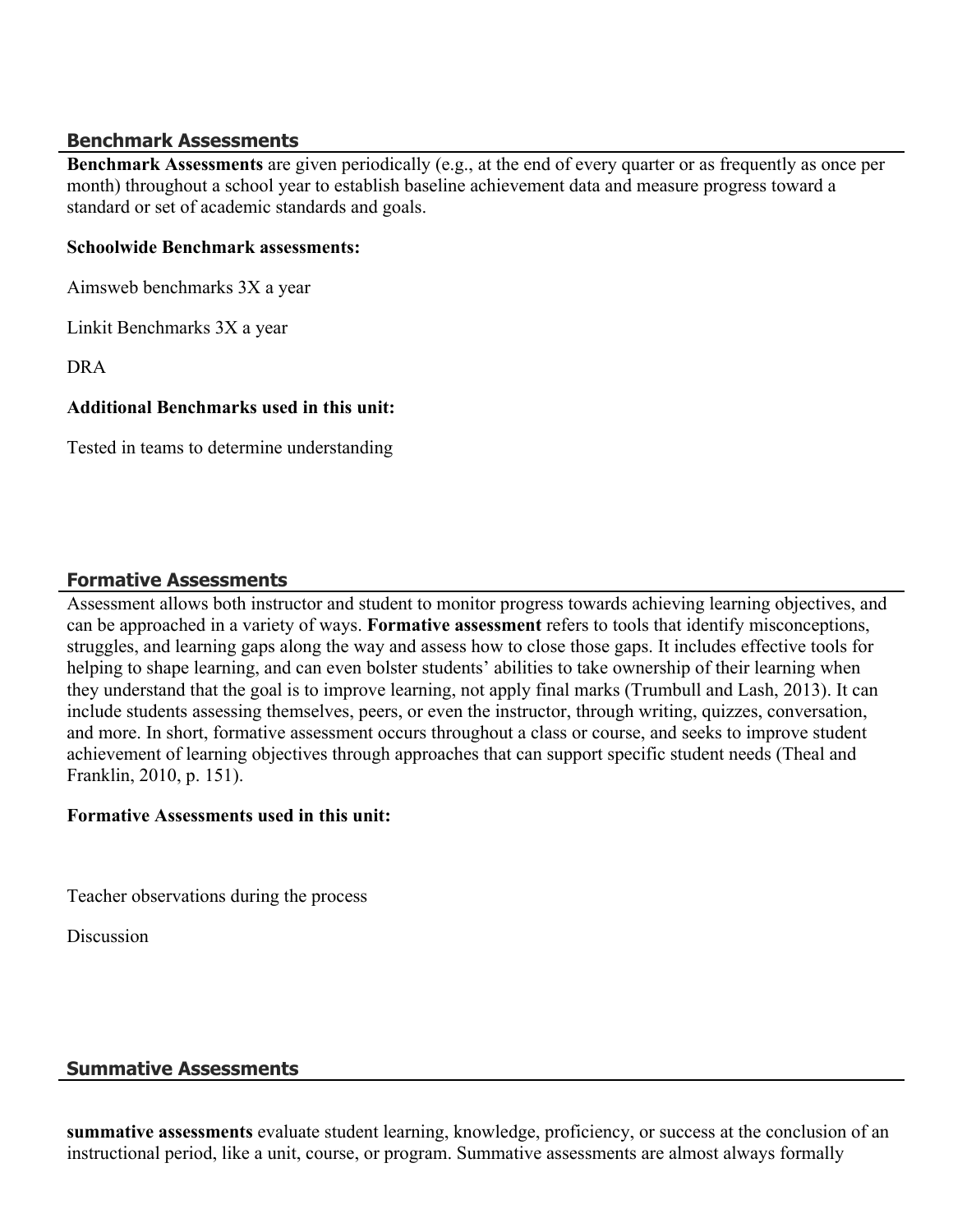#### **Benchmark Assessments**

**Benchmark Assessments** are given periodically (e.g., at the end of every quarter or as frequently as once per month) throughout a school year to establish baseline achievement data and measure progress toward a standard or set of academic standards and goals.

#### **Schoolwide Benchmark assessments:**

Aimsweb benchmarks 3X a year

Linkit Benchmarks 3X a year

DRA

#### **Additional Benchmarks used in this unit:**

Tested in teams to determine understanding

# **Formative Assessments**

Assessment allows both instructor and student to monitor progress towards achieving learning objectives, and can be approached in a variety of ways. **Formative assessment** refers to tools that identify misconceptions, struggles, and learning gaps along the way and assess how to close those gaps. It includes effective tools for helping to shape learning, and can even bolster students' abilities to take ownership of their learning when they understand that the goal is to improve learning, not apply final marks (Trumbull and Lash, 2013). It can include students assessing themselves, peers, or even the instructor, through writing, quizzes, conversation, and more. In short, formative assessment occurs throughout a class or course, and seeks to improve student achievement of learning objectives through approaches that can support specific student needs (Theal and Franklin, 2010, p. 151).

#### **Formative Assessments used in this unit:**

Teacher observations during the process

**Discussion** 

# **Summative Assessments**

**summative assessments** evaluate student learning, knowledge, proficiency, or success at the conclusion of an instructional period, like a unit, course, or program. Summative assessments are almost always formally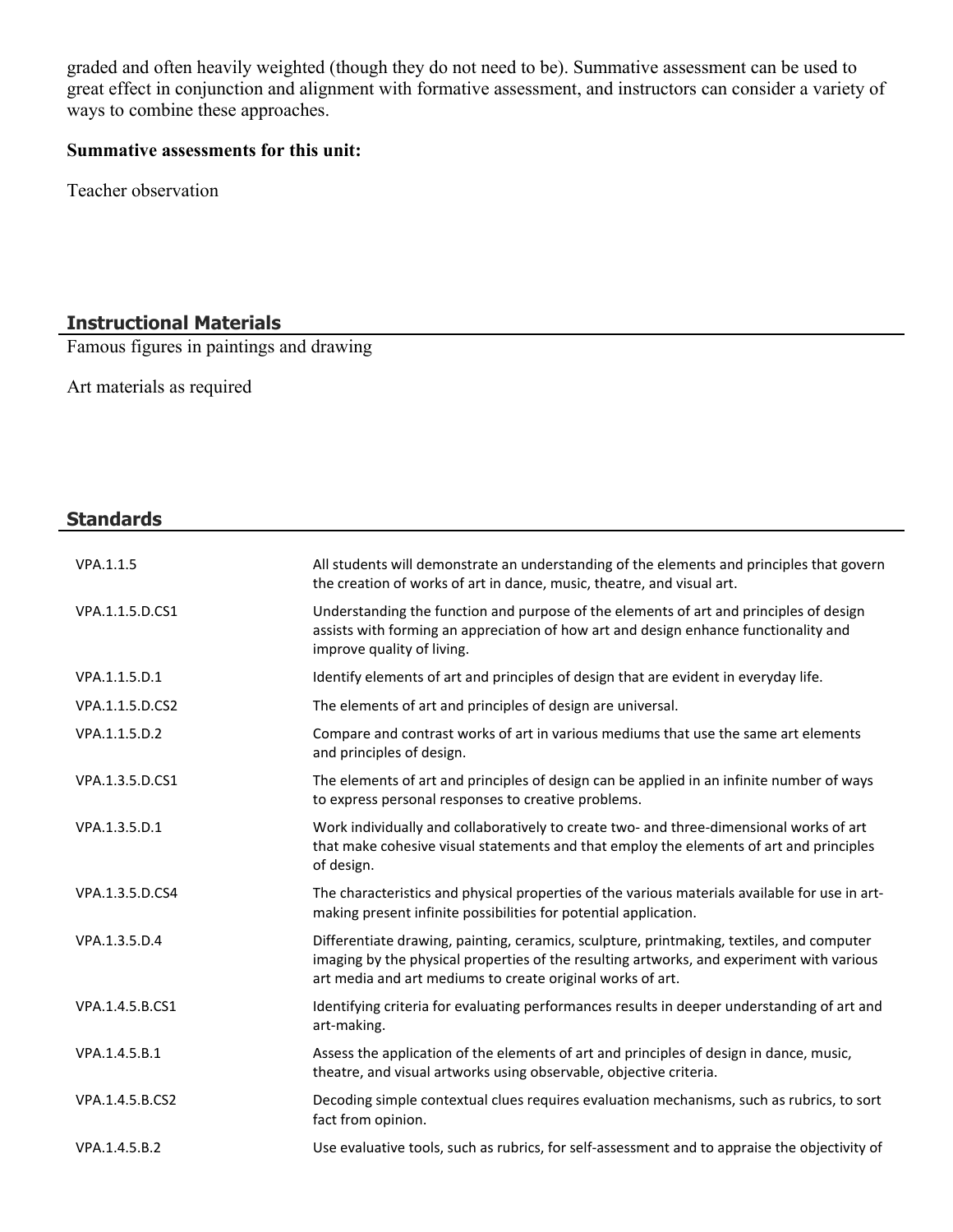graded and often heavily weighted (though they do not need to be). Summative assessment can be used to great effect in conjunction and alignment with formative assessment, and instructors can consider a variety of ways to combine these approaches.

#### **Summative assessments for this unit:**

Teacher observation

# **Instructional Materials**

Famous figures in paintings and drawing

Art materials as required

# **Standards**

| VPA.1.1.5       | All students will demonstrate an understanding of the elements and principles that govern<br>the creation of works of art in dance, music, theatre, and visual art.                                                                                  |
|-----------------|------------------------------------------------------------------------------------------------------------------------------------------------------------------------------------------------------------------------------------------------------|
| VPA.1.1.5.D.CS1 | Understanding the function and purpose of the elements of art and principles of design<br>assists with forming an appreciation of how art and design enhance functionality and<br>improve quality of living.                                         |
| VPA.1.1.5.D.1   | Identify elements of art and principles of design that are evident in everyday life.                                                                                                                                                                 |
| VPA.1.1.5.D.CS2 | The elements of art and principles of design are universal.                                                                                                                                                                                          |
| VPA.1.1.5.D.2   | Compare and contrast works of art in various mediums that use the same art elements<br>and principles of design.                                                                                                                                     |
| VPA.1.3.5.D.CS1 | The elements of art and principles of design can be applied in an infinite number of ways<br>to express personal responses to creative problems.                                                                                                     |
| VPA.1.3.5.D.1   | Work individually and collaboratively to create two- and three-dimensional works of art<br>that make cohesive visual statements and that employ the elements of art and principles<br>of design.                                                     |
| VPA.1.3.5.D.CS4 | The characteristics and physical properties of the various materials available for use in art-<br>making present infinite possibilities for potential application.                                                                                   |
| VPA.1.3.5.D.4   | Differentiate drawing, painting, ceramics, sculpture, printmaking, textiles, and computer<br>imaging by the physical properties of the resulting artworks, and experiment with various<br>art media and art mediums to create original works of art. |
| VPA.1.4.5.B.CS1 | Identifying criteria for evaluating performances results in deeper understanding of art and<br>art-making.                                                                                                                                           |
| VPA.1.4.5.B.1   | Assess the application of the elements of art and principles of design in dance, music,<br>theatre, and visual artworks using observable, objective criteria.                                                                                        |
| VPA.1.4.5.B.CS2 | Decoding simple contextual clues requires evaluation mechanisms, such as rubrics, to sort<br>fact from opinion.                                                                                                                                      |
| VPA.1.4.5.B.2   | Use evaluative tools, such as rubrics, for self-assessment and to appraise the objectivity of                                                                                                                                                        |